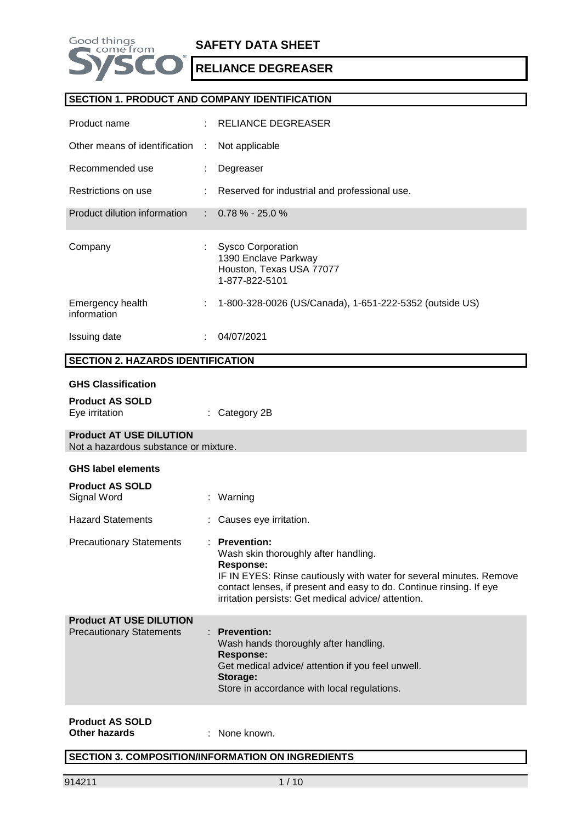

# **SAFETY DATA SHEET**

**RELIANCE DEGREASER**

### **SECTION 1. PRODUCT AND COMPANY IDENTIFICATION**

| Product name                                                            |                           | <b>RELIANCE DEGREASER</b>                                                                                                                                                                                                                                                      |
|-------------------------------------------------------------------------|---------------------------|--------------------------------------------------------------------------------------------------------------------------------------------------------------------------------------------------------------------------------------------------------------------------------|
| Other means of identification                                           | ÷                         | Not applicable                                                                                                                                                                                                                                                                 |
| Recommended use                                                         |                           | Degreaser                                                                                                                                                                                                                                                                      |
| Restrictions on use                                                     |                           | Reserved for industrial and professional use.                                                                                                                                                                                                                                  |
| Product dilution information                                            | $\mathbb{R}^{\mathbb{Z}}$ | $0.78\% - 25.0\%$                                                                                                                                                                                                                                                              |
| Company                                                                 |                           | <b>Sysco Corporation</b><br>1390 Enclave Parkway<br>Houston, Texas USA 77077<br>1-877-822-5101                                                                                                                                                                                 |
| Emergency health<br>information                                         |                           | 1-800-328-0026 (US/Canada), 1-651-222-5352 (outside US)                                                                                                                                                                                                                        |
| Issuing date                                                            | ÷.                        | 04/07/2021                                                                                                                                                                                                                                                                     |
| <b>SECTION 2. HAZARDS IDENTIFICATION</b>                                |                           |                                                                                                                                                                                                                                                                                |
| <b>GHS Classification</b><br><b>Product AS SOLD</b>                     |                           |                                                                                                                                                                                                                                                                                |
| Eye irritation                                                          | ÷                         | Category 2B                                                                                                                                                                                                                                                                    |
| <b>Product AT USE DILUTION</b><br>Not a hazardous substance or mixture. |                           |                                                                                                                                                                                                                                                                                |
|                                                                         |                           |                                                                                                                                                                                                                                                                                |
| <b>GHS label elements</b>                                               |                           |                                                                                                                                                                                                                                                                                |
| <b>Product AS SOLD</b><br>Signal Word                                   |                           | : Warning                                                                                                                                                                                                                                                                      |
| <b>Hazard Statements</b>                                                |                           | Causes eye irritation.                                                                                                                                                                                                                                                         |
| <b>Precautionary Statements</b>                                         |                           | : Prevention:<br>Wash skin thoroughly after handling.<br><b>Response:</b><br>IF IN EYES: Rinse cautiously with water for several minutes. Remove<br>contact lenses, if present and easy to do. Continue rinsing. If eye<br>irritation persists: Get medical advice/ attention. |
| <b>Product AT USE DILUTION</b><br><b>Precautionary Statements</b>       |                           | <b>Prevention:</b><br>Wash hands thoroughly after handling.<br><b>Response:</b><br>Get medical advice/ attention if you feel unwell.<br>Storage:<br>Store in accordance with local regulations.                                                                                |

**Other hazards** : None known.

## **SECTION 3. COMPOSITION/INFORMATION ON INGREDIENTS**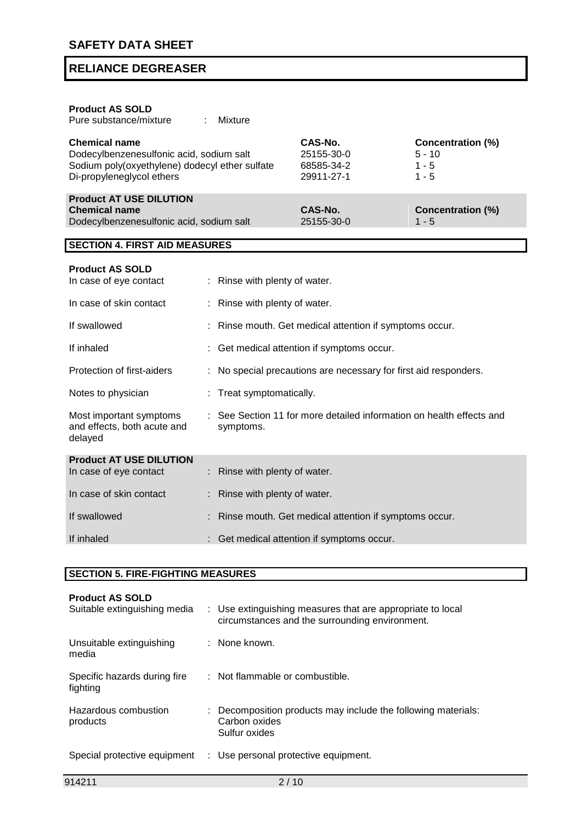| <b>Product AS SOLD</b><br>Pure substance/mixture                                                                                                | <b>Mixture</b>              |                                                                    |                                                            |
|-------------------------------------------------------------------------------------------------------------------------------------------------|-----------------------------|--------------------------------------------------------------------|------------------------------------------------------------|
| <b>Chemical name</b><br>Dodecylbenzenesulfonic acid, sodium salt<br>Sodium poly(oxyethylene) dodecyl ether sulfate<br>Di-propyleneglycol ethers |                             | CAS-No.<br>25155-30-0<br>68585-34-2<br>29911-27-1                  | <b>Concentration (%)</b><br>$5 - 10$<br>$1 - 5$<br>$1 - 5$ |
| <b>Product AT USE DILUTION</b><br><b>Chemical name</b><br>Dodecylbenzenesulfonic acid, sodium salt                                              |                             | CAS-No.<br>25155-30-0                                              | <b>Concentration (%)</b><br>$1 - 5$                        |
| <b>SECTION 4. FIRST AID MEASURES</b>                                                                                                            |                             |                                                                    |                                                            |
| <b>Product AS SOLD</b><br>In case of eye contact                                                                                                | Rinse with plenty of water. |                                                                    |                                                            |
| In case of skin contact                                                                                                                         | Rinse with plenty of water. |                                                                    |                                                            |
| If swallowed                                                                                                                                    |                             | Rinse mouth. Get medical attention if symptoms occur.              |                                                            |
| If inhaled                                                                                                                                      |                             | Get medical attention if symptoms occur.                           |                                                            |
| Protection of first-aiders                                                                                                                      |                             | No special precautions are necessary for first aid responders.     |                                                            |
| Notes to physician                                                                                                                              | Treat symptomatically.      |                                                                    |                                                            |
| Most important symptoms<br>and effects, both acute and<br>delayed                                                                               | symptoms.                   | See Section 11 for more detailed information on health effects and |                                                            |
| <b>Product AT USE DILUTION</b><br>In case of eye contact                                                                                        | Rinse with plenty of water. |                                                                    |                                                            |
| In case of skin contact                                                                                                                         | Rinse with plenty of water. |                                                                    |                                                            |
| If swallowed                                                                                                                                    |                             | Rinse mouth. Get medical attention if symptoms occur.              |                                                            |

## **SECTION 5. FIRE-FIGHTING MEASURES**

If inhaled : Get medical attention if symptoms occur.

| <b>Product AS SOLD</b><br>Suitable extinguishing media | : Use extinguishing measures that are appropriate to local<br>circumstances and the surrounding environment. |
|--------------------------------------------------------|--------------------------------------------------------------------------------------------------------------|
| Unsuitable extinguishing<br>media                      | : None known.                                                                                                |
| Specific hazards during fire<br>fighting               | : Not flammable or combustible.                                                                              |
| Hazardous combustion<br>products                       | : Decomposition products may include the following materials:<br>Carbon oxides<br>Sulfur oxides              |
| Special protective equipment                           | : Use personal protective equipment.                                                                         |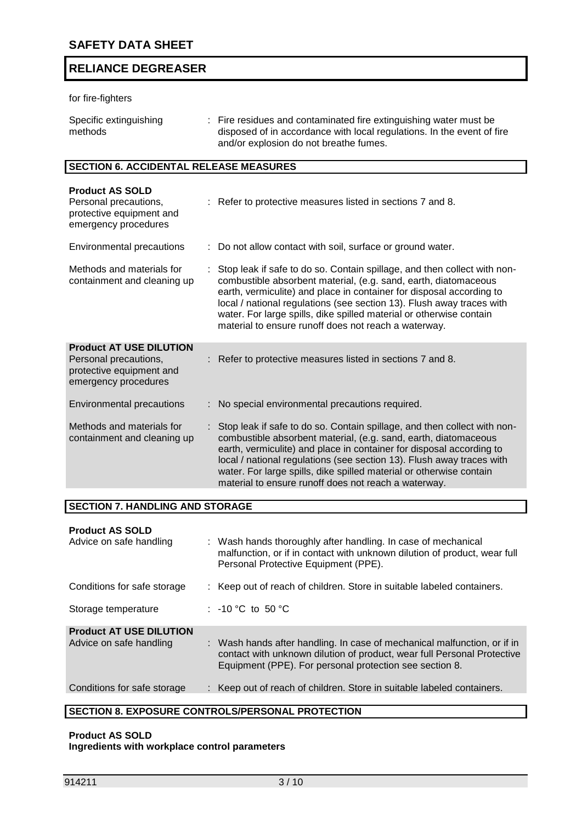## for fire-fighters

| Specific extinguishing | : Fire residues and contaminated fire extinguishing water must be      |
|------------------------|------------------------------------------------------------------------|
| methods                | disposed of in accordance with local regulations. In the event of fire |
|                        | and/or explosion do not breathe fumes.                                 |

## **SECTION 6. ACCIDENTAL RELEASE MEASURES**

| <b>Product AS SOLD</b><br>Personal precautions,<br>protective equipment and<br>emergency procedures         | : Refer to protective measures listed in sections 7 and 8.                                                                                                                                                                                                                                                                                                                                                                    |
|-------------------------------------------------------------------------------------------------------------|-------------------------------------------------------------------------------------------------------------------------------------------------------------------------------------------------------------------------------------------------------------------------------------------------------------------------------------------------------------------------------------------------------------------------------|
| <b>Environmental precautions</b>                                                                            | : Do not allow contact with soil, surface or ground water.                                                                                                                                                                                                                                                                                                                                                                    |
| Methods and materials for<br>containment and cleaning up                                                    | Stop leak if safe to do so. Contain spillage, and then collect with non-<br>combustible absorbent material, (e.g. sand, earth, diatomaceous<br>earth, vermiculite) and place in container for disposal according to<br>local / national regulations (see section 13). Flush away traces with<br>water. For large spills, dike spilled material or otherwise contain<br>material to ensure runoff does not reach a waterway.   |
| <b>Product AT USE DILUTION</b><br>Personal precautions,<br>protective equipment and<br>emergency procedures | : Refer to protective measures listed in sections 7 and 8.                                                                                                                                                                                                                                                                                                                                                                    |
| Environmental precautions                                                                                   | No special environmental precautions required.                                                                                                                                                                                                                                                                                                                                                                                |
| Methods and materials for<br>containment and cleaning up                                                    | : Stop leak if safe to do so. Contain spillage, and then collect with non-<br>combustible absorbent material, (e.g. sand, earth, diatomaceous<br>earth, vermiculite) and place in container for disposal according to<br>local / national regulations (see section 13). Flush away traces with<br>water. For large spills, dike spilled material or otherwise contain<br>material to ensure runoff does not reach a waterway. |

### **SECTION 7. HANDLING AND STORAGE**

#### **Product AS SOLD**

| Advice on safe handling        | : Wash hands thoroughly after handling. In case of mechanical<br>malfunction, or if in contact with unknown dilution of product, wear full<br>Personal Protective Equipment (PPE).                             |
|--------------------------------|----------------------------------------------------------------------------------------------------------------------------------------------------------------------------------------------------------------|
| Conditions for safe storage    | : Keep out of reach of children. Store in suitable labeled containers.                                                                                                                                         |
| Storage temperature            | : $-10\degree C$ to 50 $\degree C$                                                                                                                                                                             |
| <b>Product AT USE DILUTION</b> |                                                                                                                                                                                                                |
| Advice on safe handling        | : Wash hands after handling. In case of mechanical malfunction, or if in<br>contact with unknown dilution of product, wear full Personal Protective<br>Equipment (PPE). For personal protection see section 8. |
| Conditions for safe storage    | : Keep out of reach of children. Store in suitable labeled containers.                                                                                                                                         |
|                                |                                                                                                                                                                                                                |

## **SECTION 8. EXPOSURE CONTROLS/PERSONAL PROTECTION**

## **Product AS SOLD Ingredients with workplace control parameters**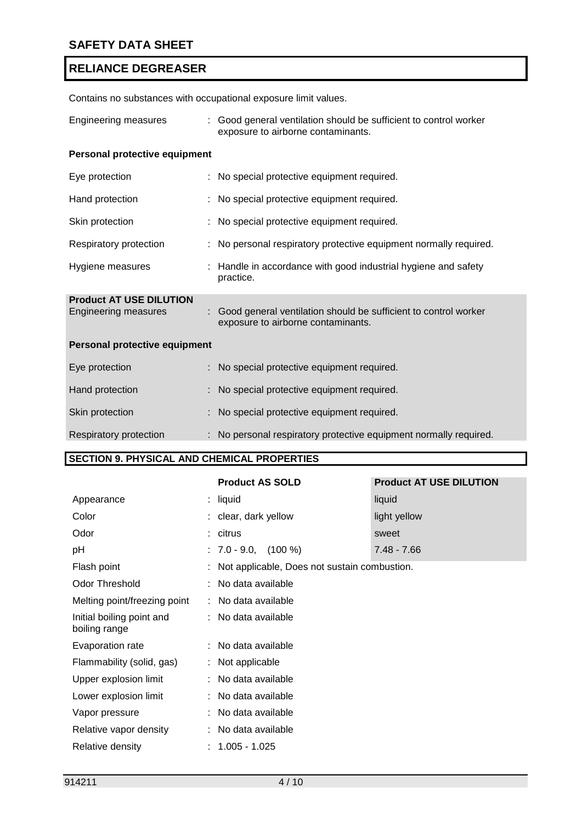| Contains no substances with occupational exposure limit values. |    |                                                                                                         |  |
|-----------------------------------------------------------------|----|---------------------------------------------------------------------------------------------------------|--|
| <b>Engineering measures</b>                                     |    | : Good general ventilation should be sufficient to control worker<br>exposure to airborne contaminants. |  |
| Personal protective equipment                                   |    |                                                                                                         |  |
| Eye protection                                                  |    | : No special protective equipment required.                                                             |  |
| Hand protection                                                 |    | No special protective equipment required.                                                               |  |
| Skin protection                                                 |    | No special protective equipment required.                                                               |  |
| Respiratory protection                                          |    | : No personal respiratory protective equipment normally required.                                       |  |
| Hygiene measures                                                |    | : Handle in accordance with good industrial hygiene and safety<br>practice.                             |  |
| <b>Product AT USE DILUTION</b><br>Engineering measures          | ÷. | Good general ventilation should be sufficient to control worker<br>exposure to airborne contaminants.   |  |
| Personal protective equipment                                   |    |                                                                                                         |  |
| Eye protection                                                  |    | No special protective equipment required.                                                               |  |
| Hand protection                                                 |    | No special protective equipment required.                                                               |  |
| Skin protection                                                 |    | No special protective equipment required.                                                               |  |
| Respiratory protection                                          |    | No personal respiratory protective equipment normally required.                                         |  |

## **SECTION 9. PHYSICAL AND CHEMICAL PROPERTIES**

|                                            | <b>Product AS SOLD</b>                         | <b>Product AT USE DILUTION</b> |
|--------------------------------------------|------------------------------------------------|--------------------------------|
| Appearance                                 | $:$ liquid                                     | liquid                         |
| Color                                      | : clear, dark yellow                           | light yellow                   |
| Odor                                       | : citrus                                       | sweet                          |
| pH                                         | $: 7.0 - 9.0, (100%)$                          | $7.48 - 7.66$                  |
| Flash point                                | : Not applicable, Does not sustain combustion. |                                |
| Odor Threshold                             | : No data available                            |                                |
| Melting point/freezing point               | : No data available                            |                                |
| Initial boiling point and<br>boiling range | : No data available                            |                                |
| Evaporation rate                           | : No data available                            |                                |
| Flammability (solid, gas)                  | : Not applicable                               |                                |
| Upper explosion limit                      | : No data available                            |                                |
| Lower explosion limit                      | : No data available                            |                                |
| Vapor pressure                             | : No data available                            |                                |
| Relative vapor density                     | : No data available                            |                                |
| Relative density                           | $: 1.005 - 1.025$                              |                                |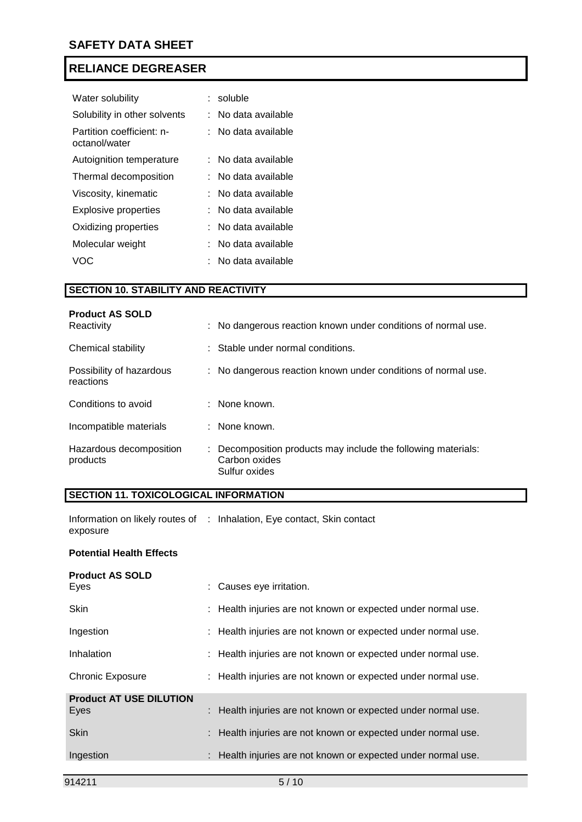| Water solubility                           | : soluble             |
|--------------------------------------------|-----------------------|
| Solubility in other solvents               | No data available     |
| Partition coefficient: n-<br>octanol/water | : No data available   |
| Autoignition temperature                   | ∶   No data available |
| Thermal decomposition                      | No data available     |
| Viscosity, kinematic                       | No data available     |
| Explosive properties                       | No data available     |
| Oxidizing properties                       | No data available     |
| Molecular weight                           | No data available     |
| VOC.                                       | : No data available   |

## **SECTION 10. STABILITY AND REACTIVITY**

| <b>Product AS SOLD</b><br>Reactivity  | : No dangerous reaction known under conditions of normal use.                                   |
|---------------------------------------|-------------------------------------------------------------------------------------------------|
| Chemical stability                    | : Stable under normal conditions.                                                               |
| Possibility of hazardous<br>reactions | : No dangerous reaction known under conditions of normal use.                                   |
| Conditions to avoid                   | : None known.                                                                                   |
| Incompatible materials                | : None known.                                                                                   |
| Hazardous decomposition<br>products   | : Decomposition products may include the following materials:<br>Carbon oxides<br>Sulfur oxides |

# **SECTION 11. TOXICOLOGICAL INFORMATION**

Information on likely routes of : Inhalation, Eye contact, Skin contact exposure

## **Potential Health Effects**

| <b>Product AS SOLD</b>         |                                                               |
|--------------------------------|---------------------------------------------------------------|
| Eyes                           | : Causes eye irritation.                                      |
| <b>Skin</b>                    | : Health injuries are not known or expected under normal use. |
| Ingestion                      | : Health injuries are not known or expected under normal use. |
| Inhalation                     | : Health injuries are not known or expected under normal use. |
| <b>Chronic Exposure</b>        | : Health injuries are not known or expected under normal use. |
| <b>Product AT USE DILUTION</b> |                                                               |
| Eyes                           | : Health injuries are not known or expected under normal use. |
| <b>Skin</b>                    | : Health injuries are not known or expected under normal use. |
| Ingestion                      | Health injuries are not known or expected under normal use.   |
|                                |                                                               |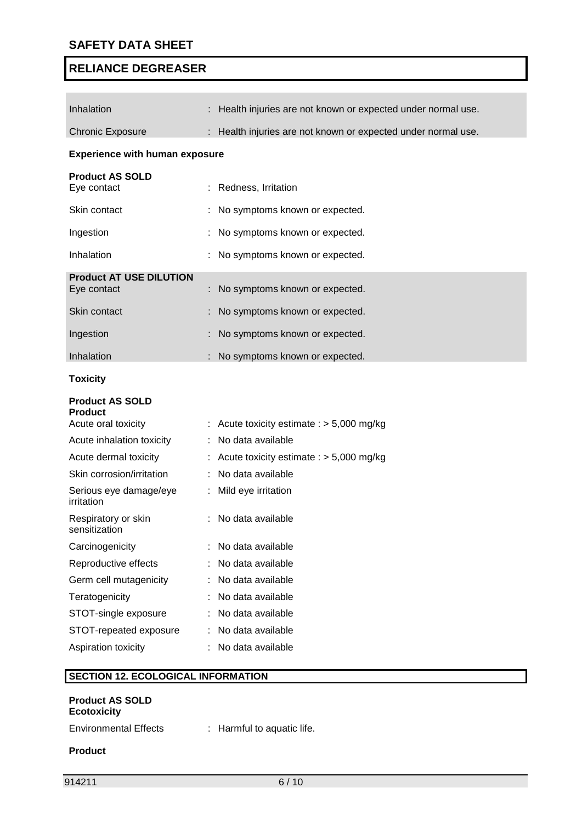| Inhalation<br>Health injuries are not known or expected under normal use.<br>: Health injuries are not known or expected under normal use.<br><b>Chronic Exposure</b><br><b>Experience with human exposure</b><br><b>Product AS SOLD</b><br>Eye contact<br>Redness, Irritation<br>Skin contact<br>No symptoms known or expected.<br>Ingestion<br>No symptoms known or expected.<br>Inhalation<br>No symptoms known or expected.<br><b>Product AT USE DILUTION</b><br>No symptoms known or expected.<br>Eye contact<br>Skin contact<br>No symptoms known or expected.<br>Ingestion<br>No symptoms known or expected.<br>Inhalation<br>No symptoms known or expected.<br><b>Toxicity</b><br><b>Product AS SOLD</b><br><b>Product</b><br>Acute oral toxicity<br>: Acute toxicity estimate : $> 5,000$ mg/kg<br>No data available<br>Acute inhalation toxicity<br>Acute dermal toxicity<br>Acute toxicity estimate : $> 5,000$ mg/kg<br>Skin corrosion/irritation<br>No data available<br>Serious eye damage/eye<br>Mild eye irritation<br>irritation<br>: No data available<br>Respiratory or skin<br>sensitization<br>Carcinogenicity<br>: No data available<br>No data available<br>Reproductive effects<br>Germ cell mutagenicity<br>No data available<br>Teratogenicity<br>No data available<br>STOT-single exposure<br>No data available<br>STOT-repeated exposure<br>No data available<br>: No data available<br>Aspiration toxicity |  |  |
|-----------------------------------------------------------------------------------------------------------------------------------------------------------------------------------------------------------------------------------------------------------------------------------------------------------------------------------------------------------------------------------------------------------------------------------------------------------------------------------------------------------------------------------------------------------------------------------------------------------------------------------------------------------------------------------------------------------------------------------------------------------------------------------------------------------------------------------------------------------------------------------------------------------------------------------------------------------------------------------------------------------------------------------------------------------------------------------------------------------------------------------------------------------------------------------------------------------------------------------------------------------------------------------------------------------------------------------------------------------------------------------------------------------------------------------------|--|--|
|                                                                                                                                                                                                                                                                                                                                                                                                                                                                                                                                                                                                                                                                                                                                                                                                                                                                                                                                                                                                                                                                                                                                                                                                                                                                                                                                                                                                                                         |  |  |
|                                                                                                                                                                                                                                                                                                                                                                                                                                                                                                                                                                                                                                                                                                                                                                                                                                                                                                                                                                                                                                                                                                                                                                                                                                                                                                                                                                                                                                         |  |  |
|                                                                                                                                                                                                                                                                                                                                                                                                                                                                                                                                                                                                                                                                                                                                                                                                                                                                                                                                                                                                                                                                                                                                                                                                                                                                                                                                                                                                                                         |  |  |
|                                                                                                                                                                                                                                                                                                                                                                                                                                                                                                                                                                                                                                                                                                                                                                                                                                                                                                                                                                                                                                                                                                                                                                                                                                                                                                                                                                                                                                         |  |  |
|                                                                                                                                                                                                                                                                                                                                                                                                                                                                                                                                                                                                                                                                                                                                                                                                                                                                                                                                                                                                                                                                                                                                                                                                                                                                                                                                                                                                                                         |  |  |
|                                                                                                                                                                                                                                                                                                                                                                                                                                                                                                                                                                                                                                                                                                                                                                                                                                                                                                                                                                                                                                                                                                                                                                                                                                                                                                                                                                                                                                         |  |  |
|                                                                                                                                                                                                                                                                                                                                                                                                                                                                                                                                                                                                                                                                                                                                                                                                                                                                                                                                                                                                                                                                                                                                                                                                                                                                                                                                                                                                                                         |  |  |
|                                                                                                                                                                                                                                                                                                                                                                                                                                                                                                                                                                                                                                                                                                                                                                                                                                                                                                                                                                                                                                                                                                                                                                                                                                                                                                                                                                                                                                         |  |  |
|                                                                                                                                                                                                                                                                                                                                                                                                                                                                                                                                                                                                                                                                                                                                                                                                                                                                                                                                                                                                                                                                                                                                                                                                                                                                                                                                                                                                                                         |  |  |
|                                                                                                                                                                                                                                                                                                                                                                                                                                                                                                                                                                                                                                                                                                                                                                                                                                                                                                                                                                                                                                                                                                                                                                                                                                                                                                                                                                                                                                         |  |  |
|                                                                                                                                                                                                                                                                                                                                                                                                                                                                                                                                                                                                                                                                                                                                                                                                                                                                                                                                                                                                                                                                                                                                                                                                                                                                                                                                                                                                                                         |  |  |
|                                                                                                                                                                                                                                                                                                                                                                                                                                                                                                                                                                                                                                                                                                                                                                                                                                                                                                                                                                                                                                                                                                                                                                                                                                                                                                                                                                                                                                         |  |  |
|                                                                                                                                                                                                                                                                                                                                                                                                                                                                                                                                                                                                                                                                                                                                                                                                                                                                                                                                                                                                                                                                                                                                                                                                                                                                                                                                                                                                                                         |  |  |
|                                                                                                                                                                                                                                                                                                                                                                                                                                                                                                                                                                                                                                                                                                                                                                                                                                                                                                                                                                                                                                                                                                                                                                                                                                                                                                                                                                                                                                         |  |  |
|                                                                                                                                                                                                                                                                                                                                                                                                                                                                                                                                                                                                                                                                                                                                                                                                                                                                                                                                                                                                                                                                                                                                                                                                                                                                                                                                                                                                                                         |  |  |
|                                                                                                                                                                                                                                                                                                                                                                                                                                                                                                                                                                                                                                                                                                                                                                                                                                                                                                                                                                                                                                                                                                                                                                                                                                                                                                                                                                                                                                         |  |  |
|                                                                                                                                                                                                                                                                                                                                                                                                                                                                                                                                                                                                                                                                                                                                                                                                                                                                                                                                                                                                                                                                                                                                                                                                                                                                                                                                                                                                                                         |  |  |
|                                                                                                                                                                                                                                                                                                                                                                                                                                                                                                                                                                                                                                                                                                                                                                                                                                                                                                                                                                                                                                                                                                                                                                                                                                                                                                                                                                                                                                         |  |  |
|                                                                                                                                                                                                                                                                                                                                                                                                                                                                                                                                                                                                                                                                                                                                                                                                                                                                                                                                                                                                                                                                                                                                                                                                                                                                                                                                                                                                                                         |  |  |
|                                                                                                                                                                                                                                                                                                                                                                                                                                                                                                                                                                                                                                                                                                                                                                                                                                                                                                                                                                                                                                                                                                                                                                                                                                                                                                                                                                                                                                         |  |  |
|                                                                                                                                                                                                                                                                                                                                                                                                                                                                                                                                                                                                                                                                                                                                                                                                                                                                                                                                                                                                                                                                                                                                                                                                                                                                                                                                                                                                                                         |  |  |
|                                                                                                                                                                                                                                                                                                                                                                                                                                                                                                                                                                                                                                                                                                                                                                                                                                                                                                                                                                                                                                                                                                                                                                                                                                                                                                                                                                                                                                         |  |  |
|                                                                                                                                                                                                                                                                                                                                                                                                                                                                                                                                                                                                                                                                                                                                                                                                                                                                                                                                                                                                                                                                                                                                                                                                                                                                                                                                                                                                                                         |  |  |
|                                                                                                                                                                                                                                                                                                                                                                                                                                                                                                                                                                                                                                                                                                                                                                                                                                                                                                                                                                                                                                                                                                                                                                                                                                                                                                                                                                                                                                         |  |  |
|                                                                                                                                                                                                                                                                                                                                                                                                                                                                                                                                                                                                                                                                                                                                                                                                                                                                                                                                                                                                                                                                                                                                                                                                                                                                                                                                                                                                                                         |  |  |
|                                                                                                                                                                                                                                                                                                                                                                                                                                                                                                                                                                                                                                                                                                                                                                                                                                                                                                                                                                                                                                                                                                                                                                                                                                                                                                                                                                                                                                         |  |  |
|                                                                                                                                                                                                                                                                                                                                                                                                                                                                                                                                                                                                                                                                                                                                                                                                                                                                                                                                                                                                                                                                                                                                                                                                                                                                                                                                                                                                                                         |  |  |
|                                                                                                                                                                                                                                                                                                                                                                                                                                                                                                                                                                                                                                                                                                                                                                                                                                                                                                                                                                                                                                                                                                                                                                                                                                                                                                                                                                                                                                         |  |  |
| <b>SECTION 12. ECOLOGICAL INFORMATION</b>                                                                                                                                                                                                                                                                                                                                                                                                                                                                                                                                                                                                                                                                                                                                                                                                                                                                                                                                                                                                                                                                                                                                                                                                                                                                                                                                                                                               |  |  |

# **SECTION 12. ECOLOGICAL INFORMATION**

| <b>Product AS SOLD</b><br><b>Ecotoxicity</b> |                            |
|----------------------------------------------|----------------------------|
| <b>Environmental Effects</b>                 | : Harmful to aquatic life. |
| <b>Product</b>                               |                            |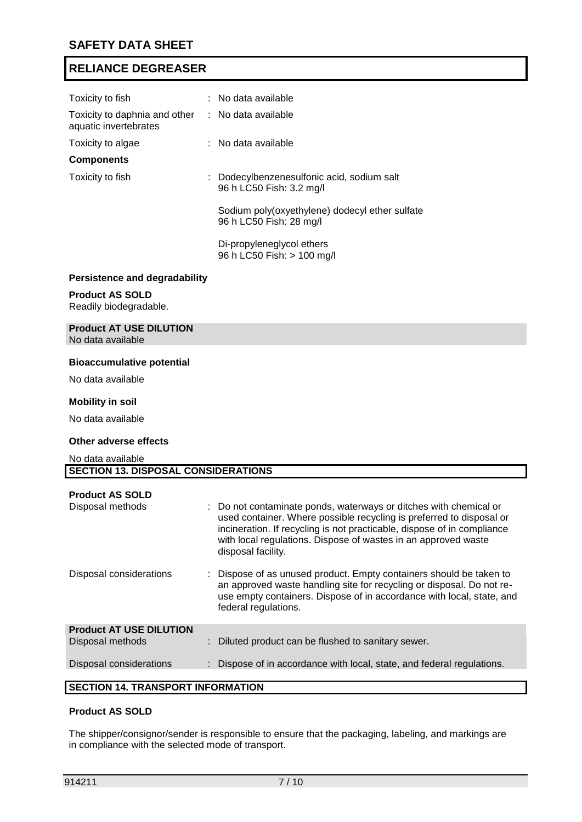| Toxicity to fish                                                           | $:$ No data available                                                     |
|----------------------------------------------------------------------------|---------------------------------------------------------------------------|
| Toxicity to daphnia and other : No data available<br>aquatic invertebrates |                                                                           |
| Toxicity to algae                                                          | $:$ No data available                                                     |
| <b>Components</b>                                                          |                                                                           |
| Toxicity to fish                                                           | : Dodecylbenzenesulfonic acid, sodium salt<br>96 h LC50 Fish: 3.2 mg/l    |
|                                                                            | Sodium poly(oxyethylene) dodecyl ether sulfate<br>96 h LC50 Fish: 28 mg/l |
|                                                                            | Di-propyleneglycol ethers<br>96 h LC50 Fish: > 100 mg/l                   |
| Devoictones and desvedebility                                              |                                                                           |

#### **Persistence and degradability**

#### **Product AS SOLD**

Readily biodegradable.

# **Product AT USE DILUTION**

No data available

#### **Bioaccumulative potential**

No data available

#### **Mobility in soil**

No data available

#### **Other adverse effects**

No data available **SECTION 13. DISPOSAL CONSIDERATIONS**

| <b>Product AS SOLD</b><br>Disposal methods         | : Do not contaminate ponds, waterways or ditches with chemical or<br>used container. Where possible recycling is preferred to disposal or<br>incineration. If recycling is not practicable, dispose of in compliance<br>with local regulations. Dispose of wastes in an approved waste<br>disposal facility. |
|----------------------------------------------------|--------------------------------------------------------------------------------------------------------------------------------------------------------------------------------------------------------------------------------------------------------------------------------------------------------------|
| Disposal considerations                            | Dispose of as unused product. Empty containers should be taken to<br>an approved waste handling site for recycling or disposal. Do not re-<br>use empty containers. Dispose of in accordance with local, state, and<br>federal regulations.                                                                  |
| <b>Product AT USE DILUTION</b><br>Disposal methods | Diluted product can be flushed to sanitary sewer.                                                                                                                                                                                                                                                            |
| Disposal considerations                            | Dispose of in accordance with local, state, and federal regulations.                                                                                                                                                                                                                                         |
| AFATIAN 44 TRANARART INFARMATIAN                   |                                                                                                                                                                                                                                                                                                              |

# **SECTION 14. TRANSPORT INFORMATION**

## **Product AS SOLD**

The shipper/consignor/sender is responsible to ensure that the packaging, labeling, and markings are in compliance with the selected mode of transport.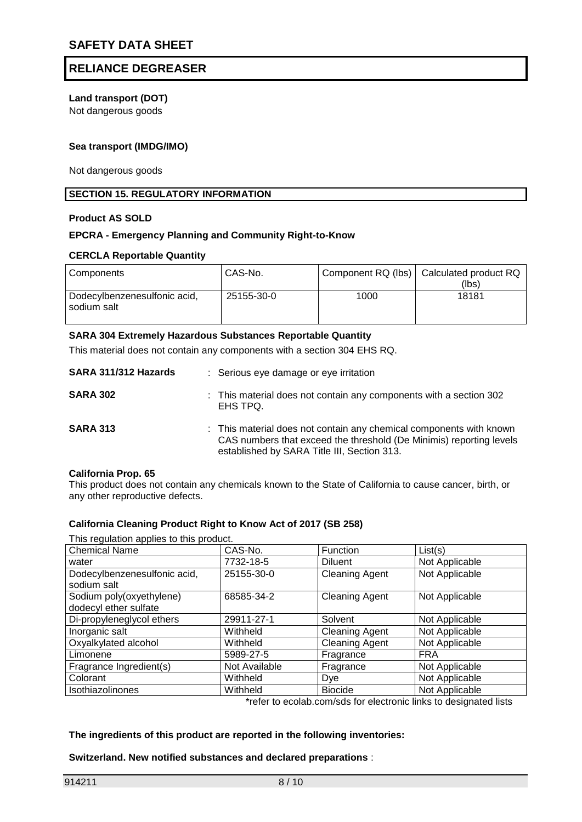# **Land transport (DOT)**

Not dangerous goods

## **Sea transport (IMDG/IMO)**

Not dangerous goods

### **SECTION 15. REGULATORY INFORMATION**

#### **Product AS SOLD**

## **EPCRA - Emergency Planning and Community Right-to-Know**

#### **CERCLA Reportable Quantity**

| Components                                  | CAS-No.    |      | Component RQ (lbs)   Calculated product RQ<br>(lbs) |
|---------------------------------------------|------------|------|-----------------------------------------------------|
| Dodecylbenzenesulfonic acid,<br>sodium salt | 25155-30-0 | 1000 | 18181                                               |

#### **SARA 304 Extremely Hazardous Substances Reportable Quantity**

This material does not contain any components with a section 304 EHS RQ.

| SARA 311/312 Hazards | : Serious eye damage or eye irritation                                                                                                                                                    |
|----------------------|-------------------------------------------------------------------------------------------------------------------------------------------------------------------------------------------|
| <b>SARA 302</b>      | : This material does not contain any components with a section 302<br>EHS TPQ.                                                                                                            |
| <b>SARA 313</b>      | : This material does not contain any chemical components with known<br>CAS numbers that exceed the threshold (De Minimis) reporting levels<br>established by SARA Title III, Section 313. |

#### **California Prop. 65**

This product does not contain any chemicals known to the State of California to cause cancer, birth, or any other reproductive defects.

#### **California Cleaning Product Right to Know Act of 2017 (SB 258)**

| This regulation applies to this product.          |               |                       |                |  |  |
|---------------------------------------------------|---------------|-----------------------|----------------|--|--|
| <b>Chemical Name</b>                              | CAS-No.       | Function              | List(s)        |  |  |
| water                                             | 7732-18-5     | <b>Diluent</b>        | Not Applicable |  |  |
| Dodecylbenzenesulfonic acid,<br>sodium salt       | 25155-30-0    | <b>Cleaning Agent</b> | Not Applicable |  |  |
| Sodium poly(oxyethylene)<br>dodecyl ether sulfate | 68585-34-2    | <b>Cleaning Agent</b> | Not Applicable |  |  |
| Di-propyleneglycol ethers                         | 29911-27-1    | Solvent               | Not Applicable |  |  |
| Inorganic salt                                    | Withheld      | <b>Cleaning Agent</b> | Not Applicable |  |  |
| Oxyalkylated alcohol                              | Withheld      | <b>Cleaning Agent</b> | Not Applicable |  |  |
| Limonene                                          | 5989-27-5     | Fragrance             | <b>FRA</b>     |  |  |
| Fragrance Ingredient(s)                           | Not Available | Fragrance             | Not Applicable |  |  |
| Colorant                                          | Withheld      | Dye                   | Not Applicable |  |  |
| Isothiazolinones                                  | Withheld      | <b>Biocide</b>        | Not Applicable |  |  |

\*refer to ecolab.com/sds for electronic links to designated lists

### **The ingredients of this product are reported in the following inventories:**

#### **Switzerland. New notified substances and declared preparations** :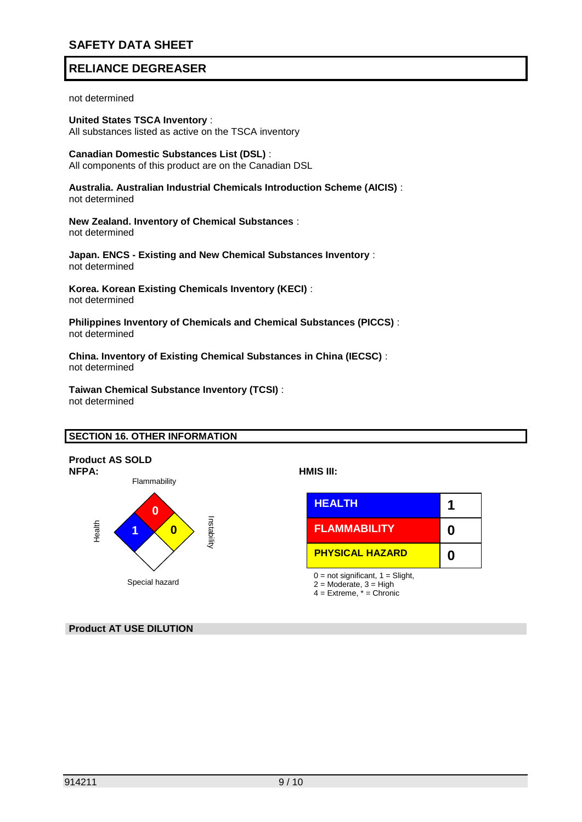# **SAFETY DATA SHEET**

# **RELIANCE DEGREASER**

not determined

**United States TSCA Inventory** : All substances listed as active on the TSCA inventory

**Canadian Domestic Substances List (DSL)** : All components of this product are on the Canadian DSL

**Australia. Australian Industrial Chemicals Introduction Scheme (AICIS)** : not determined

**New Zealand. Inventory of Chemical Substances** : not determined

**Japan. ENCS - Existing and New Chemical Substances Inventory** : not determined

**Korea. Korean Existing Chemicals Inventory (KECI)** : not determined

**Philippines Inventory of Chemicals and Chemical Substances (PICCS)** : not determined

**China. Inventory of Existing Chemical Substances in China (IECSC)** : not determined

**Taiwan Chemical Substance Inventory (TCSI)** : not determined

#### **SECTION 16. OTHER INFORMATION**



**Product AT USE DILUTION**